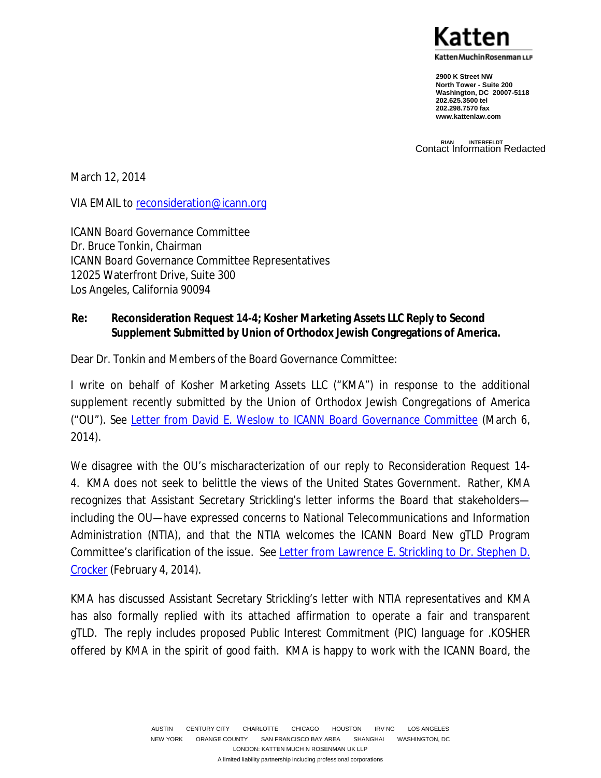(atten Muchin Rosenman பு.

**2900 K Street NW North Tower - Suite 200 Washington, DC 20007-5118 202.625.3500 tel 202.298.7570 fax www.kattenlaw.com**

**RIAN INTERFELDT** Contact Information Redacted

March 12, 2014

VIA EMAIL to reconsideration@icann.org

ICANN Board Governance Committee Dr. Bruce Tonkin, Chairman ICANN Board Governance Committee Representatives 12025 Waterfront Drive, Suite 300 Los Angeles, California 90094

#### **Re: Reconsideration Request 14-4; Kosher Marketing Assets LLC Reply to Second Supplement Submitted by Union of Orthodox Jewish Congregations of America.**

Dear Dr. Tonkin and Members of the Board Governance Committee:

I write on behalf of Kosher Marketing Assets LLC ("KMA") in response to the additional supplement recently submitted by the Union of Orthodox Jewish Congregations of America ("OU"). *See* Letter from David E. Weslow to ICANN Board Governance Committee (March 6, 2014).

We disagree with the OU's mischaracterization of our reply to Reconsideration Request 14- 4. KMA does not seek to belittle the views of the United States Government. Rather, KMA recognizes that Assistant Secretary Strickling's letter informs the Board that stakeholders including the OU—have expressed concerns to National Telecommunications and Information Administration (NTIA), and that the NTIA welcomes the ICANN Board New gTLD Program Committee's clarification of the issue. *See* Letter from Lawrence E. Strickling to Dr. Stephen D. Crocker (February 4, 2014).

KMA has discussed Assistant Secretary Strickling's letter with NTIA representatives and KMA has also formally replied with its attached affirmation to operate a fair and transparent gTLD. The reply includes proposed Public Interest Commitment (PIC) language for .KOSHER offered by KMA in the spirit of good faith. KMA is happy to work with the ICANN Board, the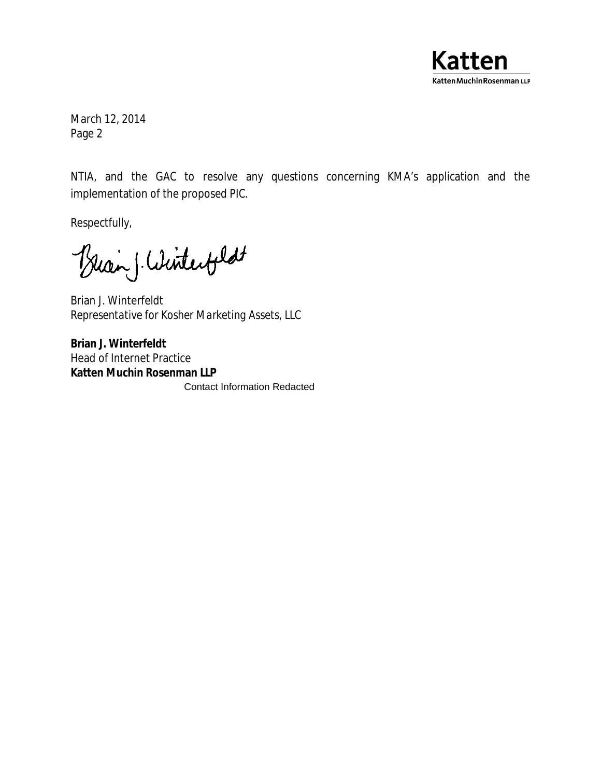

March 12, 2014 Page 2

NTIA, and the GAC to resolve any questions concerning KMA's application and the implementation of the proposed PIC.

Respectfully,

Buan ( Winterfield

Brian J. Winterfeldt *Representative for Kosher Marketing Assets, LLC* 

**Brian J. Winterfeldt**  Head of Internet Practice **Katten Muchin Rosenman LLP** Contact Information Redacted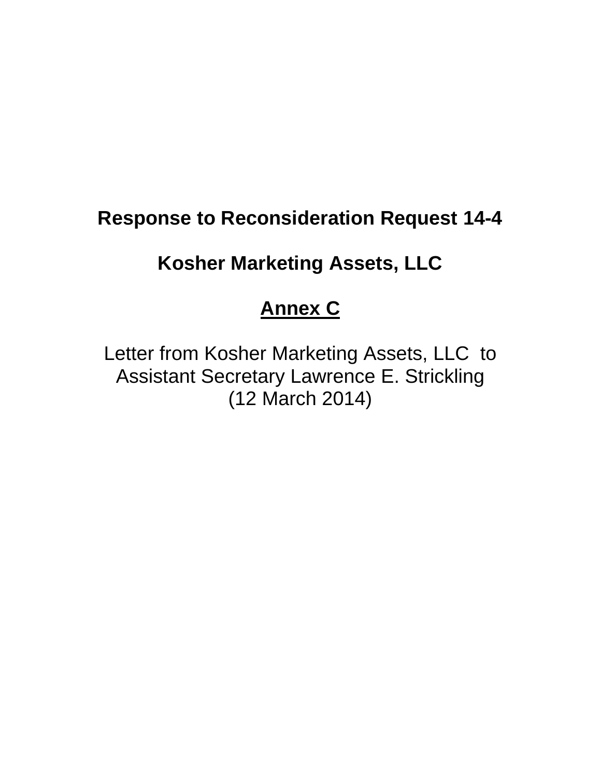# **Response to Reconsideration Request 14-4**

## **Kosher Marketing Assets, LLC**

### **Annex C**

Letter from Kosher Marketing Assets, LLC to Assistant Secretary Lawrence E. Strickling (12 March 2014)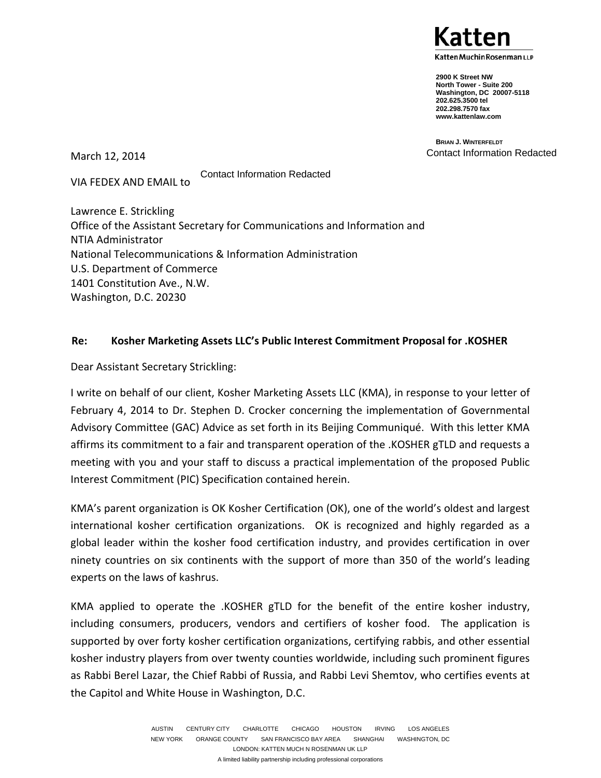atten Muchin Rosenman LLP)

**2900 K Street NW North Tower - Suite 200 Washington, DC 20007-5118 202.625.3500 tel 202.298.7570 fax www.kattenlaw.com**

**BRIAN J. WINTERFELDT** Contact Information Redacted

March 12, 2014

VIA FEDEX AND EMAIL to

Contact Information Redacted

Lawrence E. Strickling Office of the Assistant Secretary for Communications and Information and NTIA Administrator National Telecommunications & Information Administration U.S. Department of Commerce 1401 Constitution Ave., N.W. Washington, D.C. 20230

#### **Re: Kosher Marketing Assets LLC's Public Interest Commitment Proposal for .KOSHER**

Dear Assistant Secretary Strickling:

I write on behalf of our client, Kosher Marketing Assets LLC (KMA), in response to your letter of February 4, 2014 to Dr. Stephen D. Crocker concerning the implementation of Governmental Advisory Committee (GAC) Advice as set forth in its Beijing Communiqué. With this letter KMA affirms its commitment to a fair and transparent operation of the .KOSHER gTLD and requests a meeting with you and your staff to discuss a practical implementation of the proposed Public Interest Commitment (PIC) Specification contained herein.

KMA's parent organization is OK Kosher Certification (OK), one of the world's oldest and largest international kosher certification organizations. OK is recognized and highly regarded as a global leader within the kosher food certification industry, and provides certification in over ninety countries on six continents with the support of more than 350 of the world's leading experts on the laws of kashrus.

KMA applied to operate the .KOSHER gTLD for the benefit of the entire kosher industry, including consumers, producers, vendors and certifiers of kosher food. The application is supported by over forty kosher certification organizations, certifying rabbis, and other essential kosher industry players from over twenty counties worldwide, including such prominent figures as Rabbi Berel Lazar, the Chief Rabbi of Russia, and Rabbi Levi Shemtov, who certifies events at the Capitol and White House in Washington, D.C.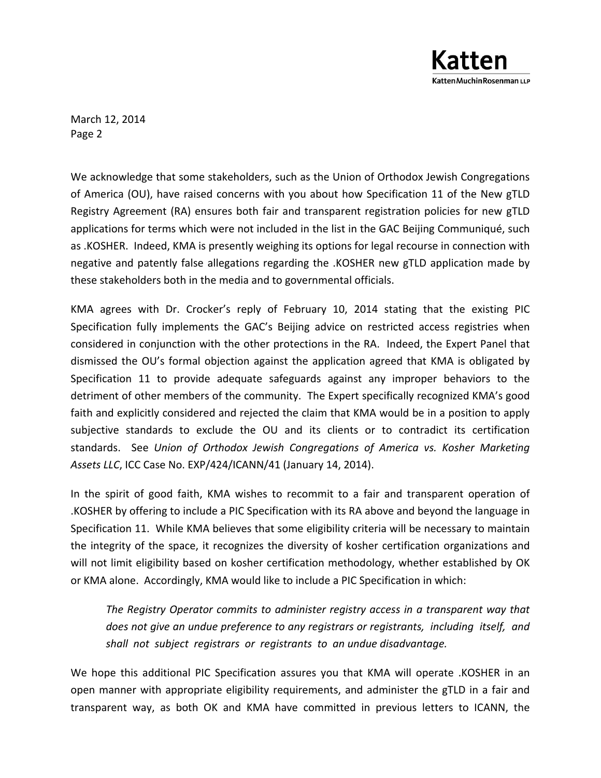

March 12, 2014 Page 2

We acknowledge that some stakeholders, such as the Union of Orthodox Jewish Congregations of America (OU), have raised concerns with you about how Specification 11 of the New gTLD Registry Agreement (RA) ensures both fair and transparent registration policies for new gTLD applications for terms which were not included in the list in the GAC Beijing Communiqué, such as .KOSHER. Indeed, KMA is presently weighing its options for legal recourse in connection with negative and patently false allegations regarding the .KOSHER new gTLD application made by these stakeholders both in the media and to governmental officials.

KMA agrees with Dr. Crocker's reply of February 10, 2014 stating that the existing PIC Specification fully implements the GAC's Beijing advice on restricted access registries when considered in conjunction with the other protections in the RA. Indeed, the Expert Panel that dismissed the OU's formal objection against the application agreed that KMA is obligated by Specification 11 to provide adequate safeguards against any improper behaviors to the detriment of other members of the community. The Expert specifically recognized KMA's good faith and explicitly considered and rejected the claim that KMA would be in a position to apply subjective standards to exclude the OU and its clients or to contradict its certification standards. See *Union of Orthodox Jewish Congregations of America vs. Kosher Marketing Assets LLC*, ICC Case No. EXP/424/ICANN/41 (January 14, 2014).

In the spirit of good faith, KMA wishes to recommit to a fair and transparent operation of .KOSHER by offering to include a PIC Specification with its RA above and beyond the language in Specification 11. While KMA believes that some eligibility criteria will be necessary to maintain the integrity of the space, it recognizes the diversity of kosher certification organizations and will not limit eligibility based on kosher certification methodology, whether established by OK or KMA alone. Accordingly, KMA would like to include a PIC Specification in which:

*The Registry Operator commits to administer registry access in a transparent way that does not give an undue preference to any registrars or registrants, including itself, and shall not subject registrars or registrants to an undue disadvantage.* 

We hope this additional PIC Specification assures you that KMA will operate .KOSHER in an open manner with appropriate eligibility requirements, and administer the gTLD in a fair and transparent way, as both OK and KMA have committed in previous letters to ICANN, the